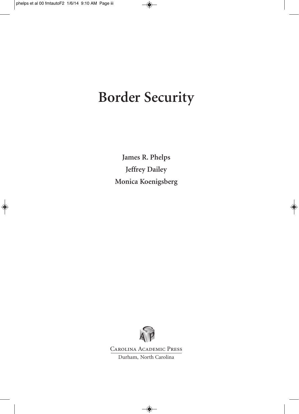# **Border Security**

**James R. Phelps Jeffrey Dailey Monica Koenigsberg**



Carolina Academic Press

Durham, North Carolina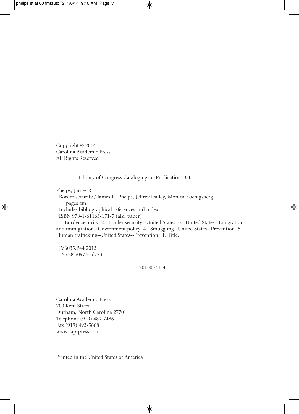Copyright © 2014 Carolina Academic Press All Rights Reserved

Library of Congress Cataloging-in-Publication Data

Phelps, James R.

Border security / James R. Phelps, Jeffrey Dailey, Monica Koenigsberg. pages cm Includes bibliographical references and index. ISBN 978-1-61163-171-5 (alk. paper) 1. Border security. 2. Border security--United States. 3. United States--Emigration

and immigration--Government policy. 4. Smuggling--United States--Prevention. 5. Human trafficking--United States--Prevention. I. Title.

JV6035.P44 2013 363.28'50973--dc23

### 2013033434

Carolina Academic Press 700 Kent Street Durham, North Carolina 27701 Telephone (919) 489-7486 Fax (919) 493-5668 www.cap-press.com

Printed in the United States of America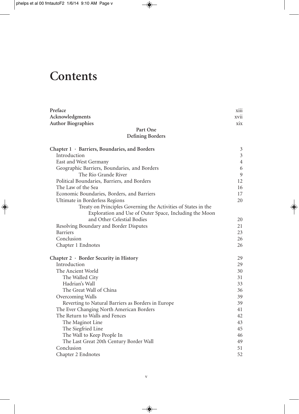# **Contents**

| Preface                                                        | <b>X111</b>    |
|----------------------------------------------------------------|----------------|
| Acknowledgments                                                | xvii           |
| <b>Author Biographies</b>                                      | xix            |
| Part One                                                       |                |
| <b>Defining Borders</b>                                        |                |
| Chapter 1 · Barriers, Boundaries, and Borders                  | 3              |
| Introduction                                                   | $\overline{3}$ |
| East and West Germany                                          | $\overline{4}$ |
| Geographic Barriers, Boundaries, and Borders                   | 6              |
| The Rio Grande River                                           | $\mathfrak{g}$ |
| Political Boundaries, Barriers, and Borders                    | 12             |
| The Law of the Sea                                             | 16             |
| Economic Boundaries, Borders, and Barriers                     | 17             |
| Ultimate in Borderless Regions                                 | 20             |
| Treaty on Principles Governing the Activities of States in the |                |
| Exploration and Use of Outer Space, Including the Moon         |                |
| and Other Celestial Bodies                                     | 20             |
| Resolving Boundary and Border Disputes                         | 21             |
| <b>Barriers</b>                                                | 23             |
| Conclusion                                                     | 26             |
| Chapter 1 Endnotes                                             | 26             |
| Chapter 2 · Border Security in History                         | 29             |
| Introduction                                                   | 29             |
| The Ancient World                                              | 30             |
| The Walled City                                                | 31             |
| Hadrian's Wall                                                 | 33             |
| The Great Wall of China                                        | 36             |
| Overcoming Walls                                               | 39             |
| Reverting to Natural Barriers as Borders in Europe             | 39             |
| The Ever Changing North American Borders                       | 41             |
| The Return to Walls and Fences                                 | 42             |
| The Maginot Line                                               | 43             |
| The Siegfried Line                                             | 45             |
| The Wall to Keep People In                                     | 46             |
| The Last Great 20th Century Border Wall                        | 49             |
| Conclusion                                                     | 51             |
| Chapter 2 Endnotes                                             | 52             |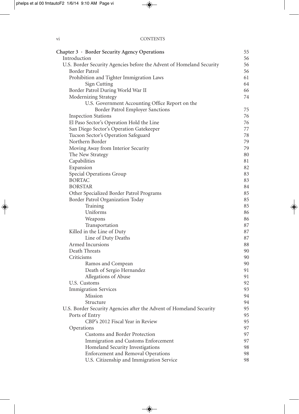| Chapter 3 · Border Security Agency Operations                                | 55       |
|------------------------------------------------------------------------------|----------|
| Introduction                                                                 | 56       |
| U.S. Border Security Agencies before the Advent of Homeland Security         | 56       |
| Border Patrol                                                                | 56       |
| Prohibition and Tighter Immigration Laws                                     | 61       |
| Sign Cutting                                                                 | 64       |
| Border Patrol During World War II                                            | 66       |
| Modernizing Strategy                                                         | 74       |
| U.S. Government Accounting Office Report on the                              |          |
| Border Patrol Employer Sanctions                                             | 75       |
| <b>Inspection Stations</b>                                                   | 76       |
| El Paso Sector's Operation Hold the Line                                     | 76       |
| San Diego Sector's Operation Gatekeeper                                      | 77       |
| Tucson Sector's Operation Safeguard                                          | 78       |
| Northern Border                                                              | 79       |
| Moving Away from Interior Security                                           | 79       |
| The New Strategy                                                             | 80       |
| Capabilities                                                                 | 81       |
| Expansion                                                                    | 82       |
| Special Operations Group<br><b>BORTAC</b>                                    | 83       |
| <b>BORSTAR</b>                                                               | 83       |
|                                                                              | 84       |
| Other Specialized Border Patrol Programs<br>Border Patrol Organization Today | 85       |
|                                                                              | 85<br>85 |
| Training<br>Uniforms                                                         | 86       |
| Weapons                                                                      | 86       |
| Transportation                                                               | 87       |
| Killed in the Line of Duty                                                   | 87       |
| Line of Duty Deaths                                                          | 87       |
| Armed Incursions                                                             | 88       |
| Death Threats                                                                | 90       |
| Criticisms                                                                   | 90       |
| Ramos and Compean                                                            | 90       |
| Death of Sergio Hernandez                                                    | 91       |
| Allegations of Abuse                                                         | 91       |
| U.S. Customs                                                                 | 92       |
| <b>Immigration Services</b>                                                  | 93       |
| Mission                                                                      | 94       |
| Structure                                                                    | 94       |
| U.S. Border Security Agencies after the Advent of Homeland Security          | 95       |
| Ports of Entry                                                               | 95       |
| CBP's 2012 Fiscal Year in Review                                             | 95       |
| Operations                                                                   | 97       |
| Customs and Border Protection                                                | 97       |
| Immigration and Customs Enforcement                                          | 97       |
| Homeland Security Investigations                                             | 98       |
| <b>Enforcement and Removal Operations</b>                                    | 98       |
| U.S. Citizenship and Immigration Service                                     | 98       |
|                                                                              |          |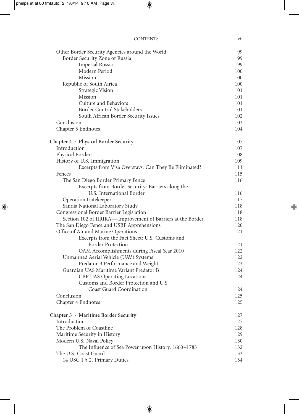#### CONTENTS vii

| Other Border Security Agencies around the World             | 99  |
|-------------------------------------------------------------|-----|
| Border Security Zone of Russia                              | 99  |
| <b>Imperial Russia</b>                                      | 99  |
| Modern Period                                               | 100 |
| Mission                                                     | 100 |
| Republic of South Africa                                    | 100 |
| Strategic Vision                                            | 101 |
| Mission                                                     | 101 |
| Culture and Behaviors                                       | 101 |
| Border Control Stakeholders                                 | 101 |
| South African Border Security Issues                        | 102 |
| Conclusion                                                  | 103 |
| Chapter 3 Endnotes                                          | 104 |
| Chapter 4 · Physical Border Security                        | 107 |
| Introduction                                                | 107 |
| Physical Borders                                            | 108 |
| History of U.S. Immigration                                 | 109 |
| Excerpts from Visa Overstays: Can They Be Eliminated?       | 111 |
| Fences                                                      | 115 |
| The San Diego Border Primary Fence                          | 116 |
| Excerpts from Border Security: Barriers along the           |     |
| U.S. International Border                                   | 116 |
| Operation Gatekeeper                                        | 117 |
| Sandia National Laboratory Study                            | 118 |
| Congressional Border Barrier Legislation                    | 118 |
| Section 102 of IIRIRA-Improvement of Barriers at the Border | 118 |
| The San Diego Fence and USBP Apprehensions                  | 120 |
| Office of Air and Marine Operations                         | 121 |
| Excerpts from the Fact Sheet: U.S. Customs and              |     |
| <b>Border Protection</b>                                    | 121 |
| OAM Accomplishments during Fiscal Year 2010                 | 122 |
| Unmanned Aerial Vehicle (UAV) Systems                       | 122 |
| Predator B Performance and Weight                           | 123 |
| Guardian UAS Maritime Variant Predator B                    | 124 |
| CBP UAS Operating Locations                                 | 124 |
| Customs and Border Protection and U.S.                      |     |
| Coast Guard Coordination                                    | 124 |
| Conclusion                                                  | 125 |
| Chapter 4 Endnotes                                          | 125 |
| Chapter 5 · Maritime Border Security                        | 127 |
| Introduction                                                | 127 |
| The Problem of Coastline                                    | 128 |
| Maritime Security in History                                | 129 |
| Modern U.S. Naval Policy                                    | 130 |
| The Influence of Sea Power upon History, 1660-1783          | 132 |
| The U.S. Coast Guard                                        | 133 |
| 14 USC 1 § 2. Primary Duties                                | 134 |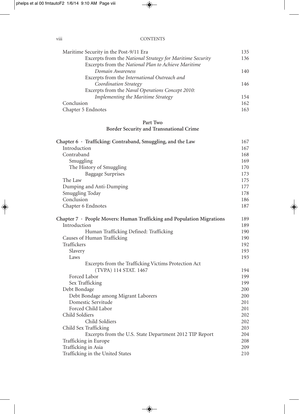| 135 |
|-----|
| 136 |
|     |
| 140 |
|     |
| 146 |
|     |
| 154 |
| 162 |
| 163 |
|     |

### **Part Two Border Security and Transnational Crime**

| Chapter $6 \cdot$ Trafficking: Contraband, Smuggling, and the Law            | 167 |
|------------------------------------------------------------------------------|-----|
| Introduction                                                                 | 167 |
| Contraband                                                                   | 168 |
| Smuggling                                                                    | 169 |
| The History of Smuggling                                                     | 170 |
| <b>Baggage Surprises</b>                                                     | 173 |
| The Law                                                                      | 175 |
| Dumping and Anti-Dumping                                                     | 177 |
| Smuggling Today                                                              | 178 |
| Conclusion                                                                   | 186 |
| Chapter 6 Endnotes                                                           | 187 |
| Chapter $7 \cdot$ People Movers: Human Trafficking and Population Migrations | 189 |
| Introduction                                                                 | 189 |
| Human Trafficking Defined: Trafficking                                       | 190 |
| Causes of Human Trafficking                                                  | 190 |
| Traffickers                                                                  | 192 |
| Slavery                                                                      | 193 |
| Laws                                                                         | 193 |
| Excerpts from the Trafficking Victims Protection Act                         |     |
| (TVPA) 114 STAT. 1467                                                        | 194 |
| Forced Labor                                                                 | 199 |
| Sex Trafficking                                                              | 199 |
| Debt Bondage                                                                 | 200 |
| Debt Bondage among Migrant Laborers                                          | 200 |
| Domestic Servitude                                                           | 201 |
| Forced Child Labor                                                           | 201 |
| Child Soldiers                                                               | 202 |
| Child Soldiers                                                               | 202 |
| Child Sex Trafficking                                                        | 203 |
| Excerpts from the U.S. State Department 2012 TIP Report                      | 204 |
| Trafficking in Europe                                                        | 208 |
| Trafficking in Asia                                                          | 209 |
| Trafficking in the United States                                             | 210 |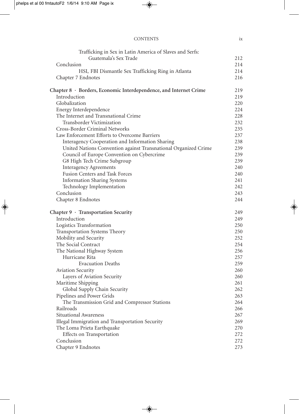| <b>CONTENTS</b> | ıΛ |  |
|-----------------|----|--|
|                 |    |  |

| Trafficking in Sex in Latin America of Slaves and Serfs:          |     |
|-------------------------------------------------------------------|-----|
| Guatemala's Sex Trade                                             | 212 |
| Conclusion                                                        | 214 |
| HSI, FBI Dismantle Sex Trafficking Ring in Atlanta                | 214 |
| Chapter 7 Endnotes                                                | 216 |
| Chapter 8 · Borders, Economic Interdependence, and Internet Crime | 219 |
| Introduction                                                      | 219 |
| Globalization                                                     | 220 |
| Energy Interdependence                                            | 224 |
| The Internet and Transnational Crime                              | 228 |
| Transborder Victimization                                         | 232 |
| <b>Cross-Border Criminal Networks</b>                             | 235 |
| Law Enforcement Efforts to Overcome Barriers                      | 237 |
| Interagency Cooperation and Information Sharing                   | 238 |
| United Nations Convention against Transnational Organized Crime   | 239 |
| Council of Europe Convention on Cybercrime                        | 239 |
| G8 High Tech Crime Subgroup                                       | 239 |
| <b>Interagency Agreements</b>                                     | 240 |
| Fusion Centers and Task Forces                                    | 240 |
| <b>Information Sharing Systems</b>                                | 241 |
| Technology Implementation                                         | 242 |
| Conclusion                                                        | 243 |
| Chapter 8 Endnotes                                                | 244 |
| Chapter 9 · Transportation Security                               | 249 |
| Introduction                                                      | 249 |
| Logistics Transformation                                          | 250 |
| Transportation Systems Theory                                     | 250 |
| Mobility and Security                                             | 252 |
| The Social Contract                                               | 254 |
| The National Highway System                                       | 256 |
| Hurricane Rita                                                    | 257 |
| <b>Evacuation Deaths</b>                                          | 259 |
| <b>Aviation Security</b>                                          | 260 |
| Layers of Aviation Security                                       | 260 |
| Maritime Shipping                                                 | 261 |
| Global Supply Chain Security                                      | 262 |
| Pipelines and Power Grids                                         | 263 |
| The Transmission Grid and Compressor Stations                     | 264 |
| Railroads                                                         | 266 |
| Situational Awareness                                             | 267 |
| Illegal Immigration and Transportation Security                   | 269 |
| The Loma Prieta Earthquake                                        | 270 |
| Effects on Transportation                                         | 272 |
| Conclusion                                                        | 272 |
| Chapter 9 Endnotes                                                | 273 |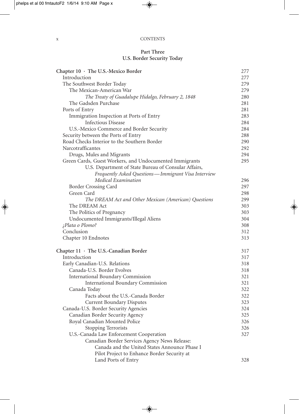| <b>CONTENTS</b> |
|-----------------|
|                 |

### **Part Three U.S. Border Security Today**

| Chapter 10 · The U.S.-Mexico Border                     | 277 |
|---------------------------------------------------------|-----|
| Introduction                                            | 277 |
| The Southwest Border Today                              | 279 |
| The Mexican-American War                                | 279 |
| The Treaty of Guadalupe Hidalgo, February 2, 1848       | 280 |
| The Gadsden Purchase                                    | 281 |
| Ports of Entry                                          | 281 |
| Immigration Inspection at Ports of Entry                | 283 |
| <b>Infectious Disease</b>                               | 284 |
| U.S.-Mexico Commerce and Border Security                | 284 |
| Security between the Ports of Entry                     | 288 |
| Road Checks Interior to the Southern Border             | 290 |
| Narcotrafficantes                                       | 292 |
| Drugs, Mules and Migrants                               | 294 |
| Green Cards, Guest Workers, and Undocumented Immigrants | 295 |
| U.S. Department of State Bureau of Consular Affairs,    |     |
| Frequently Asked Questions-Immigrant Visa Interview     |     |
| Medical Examination                                     | 296 |
| Border Crossing Card                                    | 297 |
| Green Card                                              | 298 |
| The DREAM Act and Other Mexican (American) Questions    | 299 |
| The DREAM Act                                           | 303 |
| The Politics of Pregnancy                               | 303 |
| Undocumented Immigrants/Illegal Aliens                  | 304 |
| ;Plata o Plomo?                                         | 308 |
| Conclusion                                              | 312 |
| Chapter 10 Endnotes                                     | 313 |
| Chapter $11 \cdot$ The U.S.-Canadian Border             | 317 |
| Introduction                                            | 317 |
| Early Canadian-U.S. Relations                           | 318 |
| Canada-U.S. Border Evolves                              | 318 |
| <b>International Boundary Commission</b>                | 321 |
| <b>International Boundary Commission</b>                | 321 |
| Canada Today                                            | 322 |
| Facts about the U.S.-Canada Border                      | 322 |
| <b>Current Boundary Disputes</b>                        | 323 |
| Canada-U.S. Border Security Agencies                    | 324 |
| Canadian Border Security Agency                         | 325 |
| Royal Canadian Mounted Police                           | 326 |
| Stopping Terrorists                                     | 326 |
| U.S.-Canada Law Enforcement Cooperation                 | 327 |
| Canadian Border Services Agency News Release:           |     |
| Canada and the United States Announce Phase I           |     |
| Pilot Project to Enhance Border Security at             |     |
| Land Ports of Entry                                     | 328 |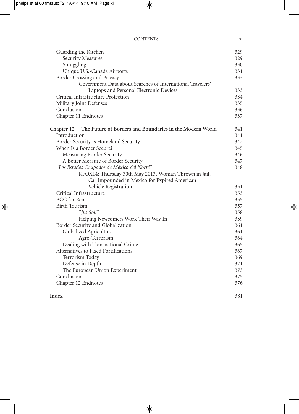### CONTENTS xi

| Guarding the Kitchen                                                        | 329 |
|-----------------------------------------------------------------------------|-----|
| <b>Security Measures</b>                                                    | 329 |
| Smuggling                                                                   | 330 |
| Unique U.S.-Canada Airports                                                 | 331 |
| Border Crossing and Privacy                                                 | 333 |
| Government Data about Searches of International Travelers'                  |     |
| Laptops and Personal Electronic Devices                                     | 333 |
| Critical Infrastructure Protection                                          | 334 |
| Military Joint Defenses                                                     | 335 |
| Conclusion                                                                  | 336 |
| Chapter 11 Endnotes                                                         | 337 |
| Chapter $12 \cdot$ The Future of Borders and Boundaries in the Modern World | 341 |
| Introduction                                                                | 341 |
| Border Security Is Homeland Security                                        | 342 |
| When Is a Border Secure?                                                    | 345 |
| Measuring Border Security                                                   | 346 |
| A Better Measure of Border Security                                         | 347 |
| "Los Estados Ocupados de México del Norté"                                  | 348 |
| KFOX14: Thursday 30th May 2013, Woman Thrown in Jail,                       |     |
| Car Impounded in Mexico for Expired American                                |     |
| Vehicle Registration                                                        | 351 |
| Critical Infrastructure                                                     | 353 |
| <b>BCC</b> for Rent                                                         | 355 |
| <b>Birth Tourism</b>                                                        | 357 |
| "Jus Soli"                                                                  | 358 |
| Helping Newcomers Work Their Way In                                         | 359 |
| Border Security and Globalization                                           | 361 |
| Globalized Agriculture                                                      | 361 |
| Agro-Terrorism                                                              | 364 |
| Dealing with Transnational Crime                                            | 365 |
| Alternatives to Fixed Fortifications                                        | 367 |
| Terrorism Today                                                             | 369 |
| Defense in Depth                                                            | 371 |
| The European Union Experiment                                               | 373 |
| Conclusion                                                                  | 375 |
| Chapter 12 Endnotes                                                         | 376 |
| Index                                                                       | 381 |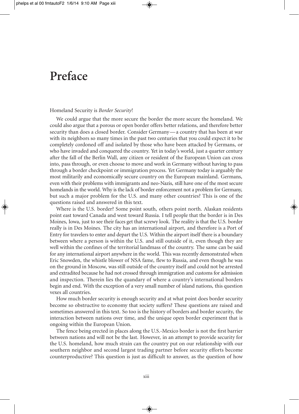### **Preface**

#### Homeland Security is *Border Security*!

We could argue that the more secure the border the more secure the homeland. We could also argue that a porous or open border offers better relations, and therefore better security than does a closed border. Consider Germany — a country that has been at war with its neighbors so many times in the past two centuries that you could expect it to be completely cordoned off and isolated by those who have been attacked by Germans, or who have invaded and conquered the country. Yet in today's world, just a quarter century after the fall of the Berlin Wall, any citizen or resident of the European Union can cross into, pass through, or even choose to move and work in Germany without having to pass through a border checkpoint or immigration process. Yet Germany today is arguably the most militarily and economically secure country on the European mainland. Germans, even with their problems with immigrants and neo- Nazis, still have one of the most secure homelands in the world. Why is the lack of border enforcement not a problem for Germany, but such a major problem for the U.S. and many other countries? This is one of the questions raised and answered in this text.

Where is the U.S. border? Some point south, others point north. Alaskan residents point east toward Canada and west toward Russia. I tell people that the border is in Des Moines, Iowa, just to see their faces get that screwy look. The reality is that the U.S. border really is in Des Moines. The city has an international airport, and therefore is a Port of Entry for travelers to enter and depart the U.S. Within the airport itself there is a boundary between where a person is within the U.S. and still outside of it, even though they are well within the confines of the territorial landmass of the country. The same can be said for any international airport anywhere in the world. This was recently demonstrated when Eric Snowden, the whistle blower of NSA fame, flew to Russia, and even though he was on the ground in Moscow, was still outside of the country itself and could not be arrested and extradited because he had not crossed through immigration and customs for admission and inspection. Therein lies the quandary of where a country's international borders begin and end. With the exception of a very small number of island nations, this question vexes all countries.

How much border security is enough security and at what point does border security become so obstructive to economy that society suffers? These questions are raised and sometimes answered in this text. So too is the history of borders and border security, the interaction between nations over time, and the unique open border experiment that is ongoing within the European Union.

The fence being erected in places along the U.S.- Mexico border is not the first barrier between nations and will not be the last. However, in an attempt to provide security for the U.S. homeland, how much strain can the country put on our relationship with our southern neighbor and second largest trading partner before security efforts become counterproductive? This question is just as difficult to answer, as the question of how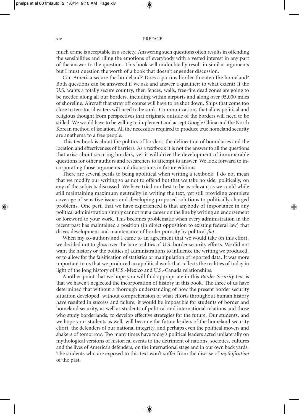#### xiv PREFACE

much crime is acceptable in a society. Answering such questions often results in offending the sensibilities and riling the emotions of everybody with a vested interest in any part of the answer to the question. This book will undoubtedly result in similar arguments but I must question the worth of a book that doesn't engender discussion.

Can America secure the homeland? Does a porous border threaten the homeland? Both questions can be answered if we ask and answer a qualifier: to what extent? If the U.S. wants a totally secure country, then fences, walls, free- fire dead zones are going to be needed along all our borders, including within airports and along over 95,000 miles of shoreline. Aircraft that stray off course will have to be shot down. Ships that come too close to territorial waters will need to be sunk. Communications that allow political and religious thought from perspectives that originate outside of the borders will need to be stifled. We would have to be willing to implement and accept Google China and the North Korean method of isolation. All the necessities required to produce true homeland security are anathema to a free people.

This textbook is about the politics of borders, the delineation of boundaries and the location and effectiveness of barriers. As a textbook it is not the answer to all the questions that arise about securing borders, yet it will drive the development of innumerable questions for other authors and researchers to attempt to answer. We look forward to incorporating those arguments and discussions in future editions.

There are several perils to being apolitical when writing a textbook. I do not mean that we modify our writing so as not to offend but that we take no side, politically, on any of the subjects discussed. We have tried our best to be as relevant as we could while still maintaining maximum neutrality in writing the text, yet still providing complete coverage of sensitive issues and developing proposed solutions to politically charged problems. One peril that we have experienced is that anybody of importance in any political administration simply cannot put a career on the line by writing an endorsement or foreword to your work. This becomes problematic when every administration in the recent past has maintained a position (in direct opposition to existing federal law) that drives development and maintenance of border porosity by political *fiat*.

When my co-authors and I came to an agreement that we would take on this effort, we decided not to gloss over the bare realities of U.S. border security efforts. We did not want the history or the politics of administrations to influence the writing we produced, or to allow for the falsification of statistics or manipulation of reported data. It was more important to us that we produced an apolitical work that reflects the realities of today in light of the long history of U.S.-Mexico and U.S.-Canada relationships.

Another point that we hope you will find appropriate in this *Border Security* text is that we haven't neglected the incorporation of history in this book. The three of us have determined that without a thorough understanding of how the present border security situation developed, without comprehension of what efforts throughout human history have resulted in success and failure, it would be impossible for students of border and homeland security, as well as students of political and international relations and those who study borderlands, to develop effective strategies for the future. Our students, and we hope your students as well, will become the future leaders of the homeland security effort, the defenders of our national integrity, and perhaps even the political movers and shakers of tomorrow. Too many times have today's political leaders acted unilaterally on mythological versions of historical events to the detriment of nations, societies, cultures and the lives of America's defenders, on the international stage and in our own back yards. The students who are exposed to this text won't suffer from the disease of *mythification* of the past.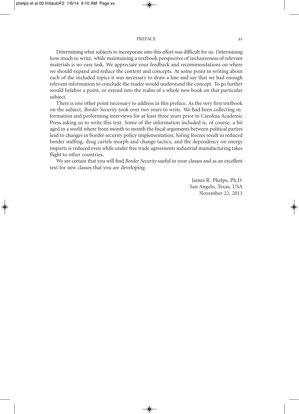#### PREFACE xv

Determining what subjects to incorporate into this effort was difficult for us. Determining how much to write, while maintaining a textbook perspective of inclusiveness of relevant materials is no easy task. We appreciate your feedback and recommendations on where we should expand and reduce the content and concepts. At some point in writing about each of the included topics it was necessary to draw a line and say that we had enough relevant information to conclude the reader would understand the concept. To go further would belabor a point, or extend into the realm of a whole new book on that particular subject.

There is one other point necessary to address in this preface. As the very first textbook on the subject, *Border Security* took over two years to write. We had been collecting information and performing interviews for at least three years prior to Carolina Academic Press asking us to write this text. Some of the information included is, of course, a bit aged in a world where from month to month the fiscal arguments between political parties lead to changes in border security policy implementation, hiring freezes result in reduced border staffing, drug cartels morph and change tactics, and the dependency on energy imports is reduced even while under free trade agreements industrial manufacturing takes flight to other countries.

We are certain that you will find *Border Security* useful in your classes and as an excellent text for new classes that you are developing.

> James R. Phelps, Ph.D. San Angelo, Texas, USA November 22, 2013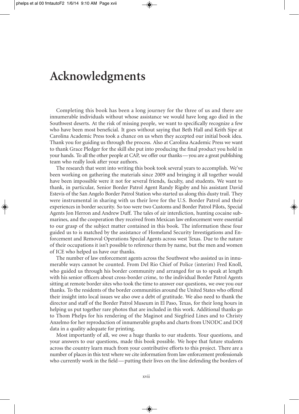### **Acknowledgments**

Completing this book has been a long journey for the three of us and there are innumerable individuals without whose assistance we would have long ago died in the Southwest deserts. At the risk of missing people, we want to specifically recognize a few who have been most beneficial. It goes without saying that Beth Hall and Keith Sipe at Carolina Academic Press took a chance on us when they accepted our initial book idea. Thank you for guiding us through the process. Also at Carolina Academic Press we want to thank Grace Pledger for the skill she put into producing the final product you hold in your hands. To all the other people at CAP, we offer our thanks— you are a great publishing team who really look after your authors.

The research that went into writing this book took several years to accomplish. We've been working on gathering the materials since 2009 and bringing it all together would have been impossible were it not for several friends, faculty, and students. We want to thank, in particular, Senior Border Patrol Agent Randy Rigsby and his assistant David Estevis of the San Angelo Border Patrol Station who started us along this dusty trail. They were instrumental in sharing with us their love for the U.S. Border Patrol and their experiences in border security. So too were two Customs and Border Patrol Pilots, Special Agents Jon Herron and Andrew Duff. The tales of air interdiction, hunting cocaine submarines, and the cooperation they received from Mexican law enforcement were essential to our grasp of the subject matter contained in this book. The information these four guided us to is matched by the assistance of Homeland Security Investigations and Enforcement and Removal Operations Special Agents across west Texas. Due to the nature of their occupations it isn't possible to reference them by name, but the men and women of ICE who helped us have our thanks.

The number of law enforcement agents across the Southwest who assisted us in innumerable ways cannot be counted. From Del Rio Chief of Police (interim) Fred Knoll, who guided us through his border community and arranged for us to speak at length with his senior officers about cross- border crime, to the individual Border Patrol Agents sitting at remote border sites who took the time to answer our questions, we owe you our thanks. To the residents of the border communities around the United States who offered their insight into local issues we also owe a debt of gratitude. We also need to thank the director and staff of the Border Patrol Museum in El Paso, Texas, for their long hours in helping us put together rare photos that are included in this work. Additional thanks go to Thom Phelps for his rendering of the Maginot and Siegfried Lines and to Christy Anzelmo for her reproduction of innumerable graphs and charts from UNODC and DOJ data in a quality adequate for printing.

Most importantly of all, we owe a huge thanks to our students. Your questions, and your answers to our questions, made this book possible. We hope that future students across the country learn much from your contributive efforts to this project. There are a number of places in this text where we cite information from law enforcement professionals who currently work in the field — putting their lives on the line defending the borders of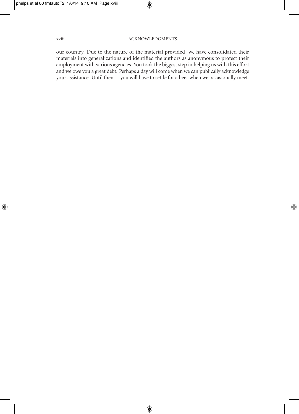our country. Due to the nature of the material provided, we have consolidated their materials into generalizations and identified the authors as anonymous to protect their employment with various agencies. You took the biggest step in helping us with this effort and we owe you a great debt. Perhaps a day will come when we can publically acknowledge your assistance. Until then — you will have to settle for a beer when we occasionally meet.